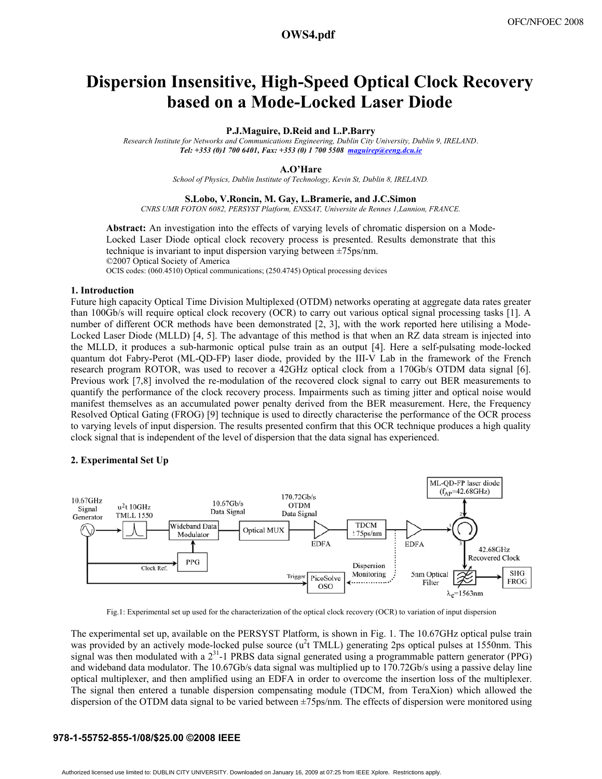# **a1411\_1.pdf OWS4.pdf**

# **Dispersion Insensitive, High-Speed Optical Clock Recovery based on a Mode-Locked Laser Diode**

## **P.J.Maguire, D.Reid and L.P.Barry**

*Research Institute for Networks and Communications Engineering, Dublin City University, Dublin 9, IRELAND*. *Tel: +353 (0)1 700 6401, Fax: +353 (0) 1 700 5508 maguirep@eeng.dcu.ie*

# **A.O'Hare**

*School of Physics, Dublin Institute of Technology, Kevin St, Dublin 8, IRELAND.* 

#### **S.Lobo, V.Roncin, M. Gay, L.Bramerie, and J.C.Simon**

*CNRS UMR FOTON 6082, PERSYST Platform, ENSSAT, Universite de Rennes 1,Lannion, FRANCE.* 

**Abstract:** An investigation into the effects of varying levels of chromatic dispersion on a Mode-Locked Laser Diode optical clock recovery process is presented. Results demonstrate that this technique is invariant to input dispersion varying between ±75ps/nm. ©2007 Optical Society of America OCIS codes: (060.4510) Optical communications; (250.4745) Optical processing devices

# **1. Introduction**

Future high capacity Optical Time Division Multiplexed (OTDM) networks operating at aggregate data rates greater than 100Gb/s will require optical clock recovery (OCR) to carry out various optical signal processing tasks [1]. A number of different OCR methods have been demonstrated [2, 3], with the work reported here utilising a Mode-Locked Laser Diode (MLLD) [4, 5]. The advantage of this method is that when an RZ data stream is injected into the MLLD, it produces a sub-harmonic optical pulse train as an output [4]. Here a self-pulsating mode-locked quantum dot Fabry-Perot (ML-QD-FP) laser diode, provided by the III-V Lab in the framework of the French research program ROTOR, was used to recover a 42GHz optical clock from a 170Gb/s OTDM data signal [6]. Previous work [7,8] involved the re-modulation of the recovered clock signal to carry out BER measurements to quantify the performance of the clock recovery process. Impairments such as timing jitter and optical noise would manifest themselves as an accumulated power penalty derived from the BER measurement. Here, the Frequency Resolved Optical Gating (FROG) [9] technique is used to directly characterise the performance of the OCR process to varying levels of input dispersion. The results presented confirm that this OCR technique produces a high quality clock signal that is independent of the level of dispersion that the data signal has experienced.

# **2. Experimental Set Up**



Fig.1: Experimental set up used for the characterization of the optical clock recovery (OCR) to variation of input dispersion

The experimental set up, available on the PERSYST Platform, is shown in Fig. 1. The 10.67GHz optical pulse train was provided by an actively mode-locked pulse source  $(u^2t)$  TMLL) generating 2ps optical pulses at 1550nm. This signal was then modulated with a  $2<sup>31</sup>$ -1 PRBS data signal generated using a programmable pattern generator (PPG) and wideband data modulator. The 10.67Gb/s data signal was multiplied up to 170.72Gb/s using a passive delay line optical multiplexer, and then amplified using an EDFA in order to overcome the insertion loss of the multiplexer. The signal then entered a tunable dispersion compensating module (TDCM, from TeraXion) which allowed the dispersion of the OTDM data signal to be varied between ±75ps/nm. The effects of dispersion were monitored using

#### **978-1-55752-855-1/08/\$25.00 ©2008 IEEE**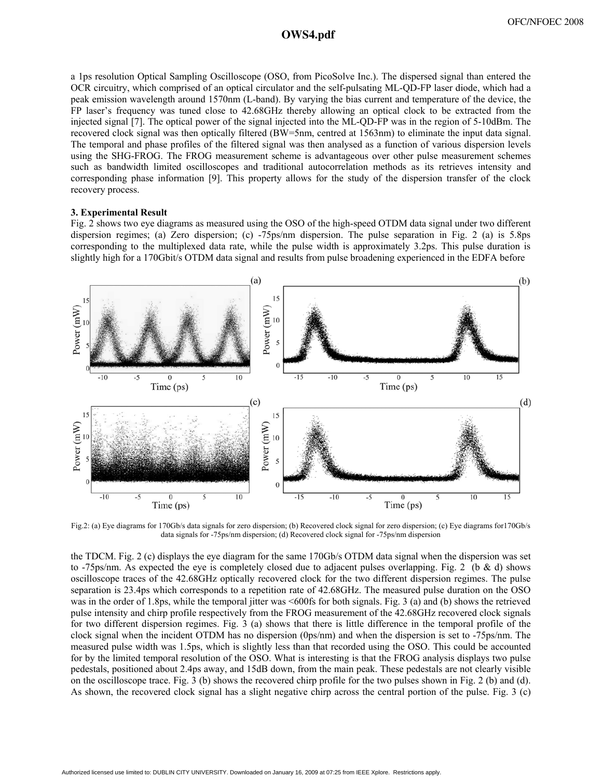# **a1411\_1.pdf OWS4.pdf**

a 1ps resolution Optical Sampling Oscilloscope (OSO, from PicoSolve Inc.). The dispersed signal than entered the OCR circuitry, which comprised of an optical circulator and the self-pulsating ML-QD-FP laser diode, which had a peak emission wavelength around 1570nm (L-band). By varying the bias current and temperature of the device, the FP laser's frequency was tuned close to 42.68GHz thereby allowing an optical clock to be extracted from the injected signal [7]. The optical power of the signal injected into the ML-QD-FP was in the region of 5-10dBm. The recovered clock signal was then optically filtered (BW=5nm, centred at 1563nm) to eliminate the input data signal. The temporal and phase profiles of the filtered signal was then analysed as a function of various dispersion levels using the SHG-FROG. The FROG measurement scheme is advantageous over other pulse measurement schemes such as bandwidth limited oscilloscopes and traditional autocorrelation methods as its retrieves intensity and corresponding phase information [9]. This property allows for the study of the dispersion transfer of the clock recovery process.

## **3. Experimental Result**

Fig. 2 shows two eye diagrams as measured using the OSO of the high-speed OTDM data signal under two different dispersion regimes; (a) Zero dispersion; (c) -75ps/nm dispersion. The pulse separation in Fig. 2 (a) is 5.8ps corresponding to the multiplexed data rate, while the pulse width is approximately 3.2ps. This pulse duration is slightly high for a 170Gbit/s OTDM data signal and results from pulse broadening experienced in the EDFA before



Fig.2: (a) Eye diagrams for 170Gb/s data signals for zero dispersion; (b) Recovered clock signal for zero dispersion; (c) Eye diagrams for170Gb/s data signals for -75ps/nm dispersion; (d) Recovered clock signal for -75ps/nm dispersion

the TDCM. Fig. 2 (c) displays the eye diagram for the same 170Gb/s OTDM data signal when the dispersion was set to -75ps/nm. As expected the eye is completely closed due to adjacent pulses overlapping. Fig. 2 (b & d) shows oscilloscope traces of the 42.68GHz optically recovered clock for the two different dispersion regimes. The pulse separation is 23.4ps which corresponds to a repetition rate of 42.68GHz. The measured pulse duration on the OSO was in the order of 1.8ps, while the temporal jitter was <600fs for both signals. Fig. 3 (a) and (b) shows the retrieved pulse intensity and chirp profile respectively from the FROG measurement of the 42.68GHz recovered clock signals for two different dispersion regimes. Fig. 3 (a) shows that there is little difference in the temporal profile of the clock signal when the incident OTDM has no dispersion (0ps/nm) and when the dispersion is set to -75ps/nm. The measured pulse width was 1.5ps, which is slightly less than that recorded using the OSO. This could be accounted for by the limited temporal resolution of the OSO. What is interesting is that the FROG analysis displays two pulse pedestals, positioned about 2.4ps away, and 15dB down, from the main peak. These pedestals are not clearly visible on the oscilloscope trace. Fig. 3 (b) shows the recovered chirp profile for the two pulses shown in Fig. 2 (b) and (d). As shown, the recovered clock signal has a slight negative chirp across the central portion of the pulse. Fig. 3 (c)